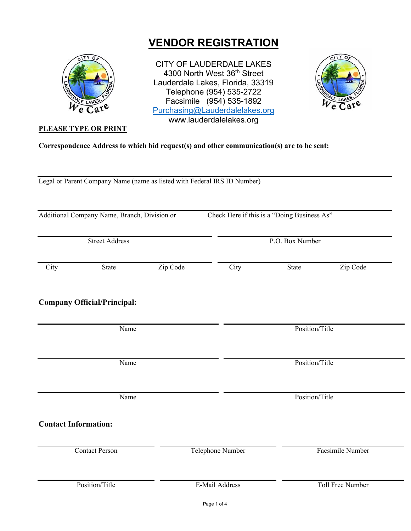# **VENDOR REGISTRATION**



**PLEASE TYPE OR PRINT** 

CITY OF LAUDERDALE LAKES 4300 North West 36<sup>th</sup> Street Lauderdale Lakes, Florida, 33319 Telephone (954) 535-2722 Facsimile (954) 535-1892 Purchasing@Lauderdalelakes.org www.lauderdalelakes.org



**Correspondence Address to which bid request(s) and other communication(s) are to be sent:** 

Legal or Parent Company Name (name as listed with Federal IRS ID Number)

Additional Company Name, Branch, Division or Check Here if this is a "Doing Business As" **Street Address** P.O. Box Number **City** State Zip Code City State Zip Code **Company Official/Principal:**  Name Position/Title Name Position/Title Name Position/Title **Contact Information:**  Contact Person Telephone Number Facsimile Number Position/Title E-Mail Address Toll Free Number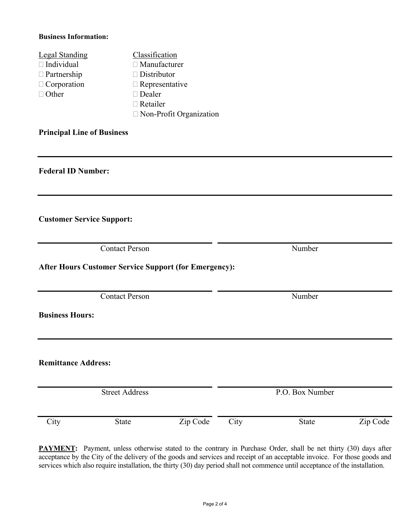#### **Business Information:**

| <b>Legal Standing</b> | Classification                 |
|-----------------------|--------------------------------|
| $\Box$ Individual     | $\Box$ Manufacturer            |
| $\Box$ Partnership    | $\Box$ Distributor             |
| $\Box$ Corporation    | $\Box$ Representative          |
| $\Box$ Other          | $\Box$ Dealer                  |
|                       | $\Box$ Retailer                |
|                       | $\Box$ Non-Profit Organization |

#### **Principal Line of Business**

**Federal ID Number:** 

**Customer Service Support:** 

**Contact Person** Number

**After Hours Customer Service Support (for Emergency):** 

Contact Person Number

**Business Hours:** 

**Remittance Address:** 

Street Address P.O. Box Number

**PAYMENT:** Payment, unless otherwise stated to the contrary in Purchase Order, shall be net thirty (30) days after acceptance by the City of the delivery of the goods and services and receipt of an acceptable invoice. For those goods and services which also require installation, the thirty (30) day period shall not commence until acceptance of the installation.

City State Zip Code City State Zip Code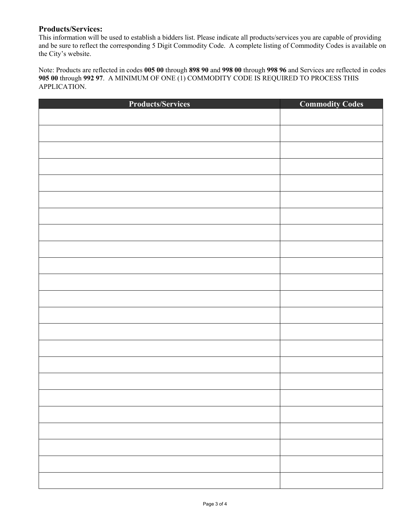#### **Products/Services:**

This information will be used to establish a bidders list. Please indicate all products/services you are capable of providing and be sure to reflect the corresponding 5 Digit Commodity Code. A complete listing of Commodity Codes is available on the City's website.

Note: Products are reflected in codes **005 00** through **898 90** and **998 00** through **998 96** and Services are reflected in codes **905 00** through **992 97**. A MINIMUM OF ONE (1) COMMODITY CODE IS REQUIRED TO PROCESS THIS APPLICATION.

| <b>Products/Services</b> | <b>Commodity Codes</b> |
|--------------------------|------------------------|
|                          |                        |
|                          |                        |
|                          |                        |
|                          |                        |
|                          |                        |
|                          |                        |
|                          |                        |
|                          |                        |
|                          |                        |
|                          |                        |
|                          |                        |
|                          |                        |
|                          |                        |
|                          |                        |
|                          |                        |
|                          |                        |
|                          |                        |
|                          |                        |
|                          |                        |
|                          |                        |
|                          |                        |
|                          |                        |
|                          |                        |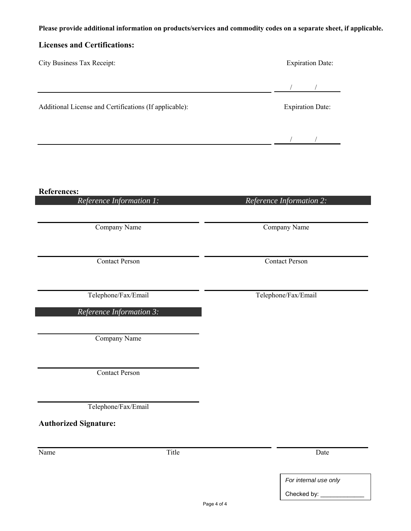## **Please provide additional information on products/services and commodity codes on a separate sheet, if applicable.**

## **Licenses and Certifications:**

| City Business Tax Receipt:                             | <b>Expiration Date:</b>  |  |
|--------------------------------------------------------|--------------------------|--|
|                                                        |                          |  |
| Additional License and Certifications (If applicable): | <b>Expiration Date:</b>  |  |
|                                                        |                          |  |
|                                                        |                          |  |
| <b>References:</b>                                     |                          |  |
| Reference Information 1:                               | Reference Information 2: |  |
| Company Name                                           | Company Name             |  |
| <b>Contact Person</b>                                  | <b>Contact Person</b>    |  |
| Telephone/Fax/Email                                    | Telephone/Fax/Email      |  |
| Reference Information 3:                               |                          |  |
| Company Name                                           |                          |  |
| <b>Contact Person</b>                                  |                          |  |
| Telephone/Fax/Email                                    |                          |  |
| <b>Authorized Signature:</b>                           |                          |  |
| Title<br>Name                                          | Date                     |  |

Page 4 of 4

*For internal use only* 

Checked by: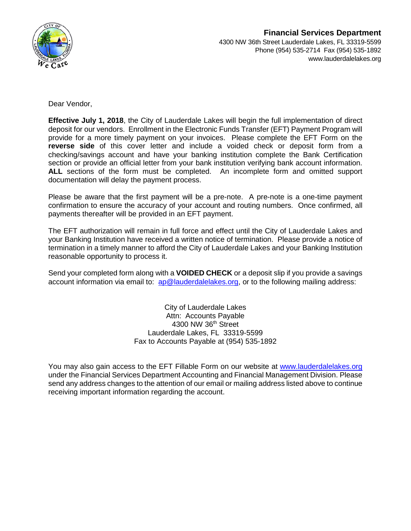

Dear Vendor,

**Effective July 1, 2018**, the City of Lauderdale Lakes will begin the full implementation of direct deposit for our vendors. Enrollment in the Electronic Funds Transfer (EFT) Payment Program will provide for a more timely payment on your invoices. Please complete the EFT Form on the **reverse side** of this cover letter and include a voided check or deposit form from a checking/savings account and have your banking institution complete the Bank Certification section or provide an official letter from your bank institution verifying bank account information. **ALL** sections of the form must be completed. An incomplete form and omitted support documentation will delay the payment process.

Please be aware that the first payment will be a pre-note. A pre-note is a one-time payment confirmation to ensure the accuracy of your account and routing numbers. Once confirmed, all payments thereafter will be provided in an EFT payment.

The EFT authorization will remain in full force and effect until the City of Lauderdale Lakes and your Banking Institution have received a written notice of termination. Please provide a notice of termination in a timely manner to afford the City of Lauderdale Lakes and your Banking Institution reasonable opportunity to process it.

Send your completed form along with a **VOIDED CHECK** or a deposit slip if you provide a savings account information via email to:  $ap@lauderdalelakes.org$ , or to the following mailing address:

> City of Lauderdale Lakes Attn: Accounts Payable 4300 NW 36th Street Lauderdale Lakes, FL 33319-5599 Fax to Accounts Payable at (954) 535-1892

You may also gain access to the EFT Fillable Form on our website at [www.lauderdalelakes.org](http://www.lauderdalelakes.org/) under the Financial Services Department Accounting and Financial Management Division. Please send any address changes to the attention of our email or mailing address listed above to continue receiving important information regarding the account.